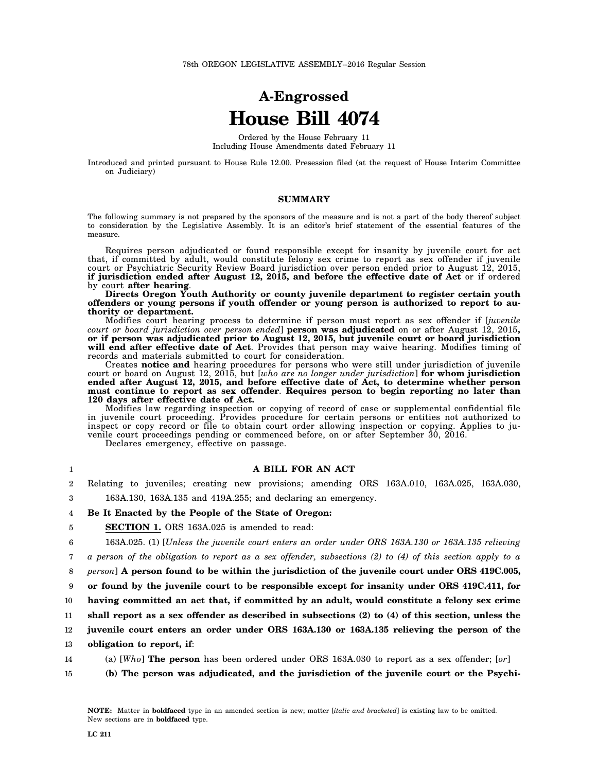# **A-Engrossed House Bill 4074**

Ordered by the House February 11 Including House Amendments dated February 11

Introduced and printed pursuant to House Rule 12.00. Presession filed (at the request of House Interim Committee on Judiciary)

#### **SUMMARY**

The following summary is not prepared by the sponsors of the measure and is not a part of the body thereof subject to consideration by the Legislative Assembly. It is an editor's brief statement of the essential features of the measure.

Requires person adjudicated or found responsible except for insanity by juvenile court for act that, if committed by adult, would constitute felony sex crime to report as sex offender if juvenile court or Psychiatric Security Review Board jurisdiction over person ended prior to August 12, 2015, **if jurisdiction ended after August 12, 2015, and before the effective date of Act** or if ordered by court **after hearing**.

**Directs Oregon Youth Authority or county juvenile department to register certain youth offenders or young persons if youth offender or young person is authorized to report to authority or department.**

Modifies court hearing process to determine if person must report as sex offender if [*juvenile court or board jurisdiction over person ended*] **person was adjudicated** on or after August 12, 2015**, or if person was adjudicated prior to August 12, 2015, but juvenile court or board jurisdiction will end after effective date of Act**. Provides that person may waive hearing. Modifies timing of records and materials submitted to court for consideration.

Creates **notice and** hearing procedures for persons who were still under jurisdiction of juvenile court or board on August 12, 2015, but [*who are no longer under jurisdiction*] **for whom jurisdiction ended after August 12, 2015, and before effective date of Act, to determine whether person must continue to report as sex offender**. **Requires person to begin reporting no later than 120 days after effective date of Act.**

Modifies law regarding inspection or copying of record of case or supplemental confidential file in juvenile court proceeding. Provides procedure for certain persons or entities not authorized to inspect or copy record or file to obtain court order allowing inspection or copying. Applies to juvenile court proceedings pending or commenced before, on or after September 30, 2016.

Declares emergency, effective on passage.

| 1               | A BILL FOR AN ACT                                                                                         |
|-----------------|-----------------------------------------------------------------------------------------------------------|
| $\overline{2}$  | Relating to juveniles; creating new provisions; amending ORS 163A.010, 163A.025, 163A.030,                |
| 3               | 163A.130, 163A.135 and $419A.255$ ; and declaring an emergency.                                           |
| 4               | Be It Enacted by the People of the State of Oregon:                                                       |
| 5               | <b>SECTION 1.</b> ORS 163A.025 is amended to read:                                                        |
| 6               | 163A.025. (1) [Unless the juvenile court enters an order under ORS 163A.130 or 163A.135 relieving         |
| 7               | a person of the obligation to report as a sex offender, subsections (2) to (4) of this section apply to a |
| 8               | <i>person</i> ] A person found to be within the jurisdiction of the juvenile court under ORS 419C.005,    |
| 9               | or found by the juvenile court to be responsible except for insanity under ORS 419C.411, for              |
| 10 <sup>°</sup> | having committed an act that, if committed by an adult, would constitute a felony sex crime               |
| 11              | shall report as a sex offender as described in subsections $(2)$ to $(4)$ of this section, unless the     |
| $12\,$          | juvenile court enters an order under ORS 163A.130 or 163A.135 relieving the person of the                 |
| 13              | obligation to report, if:                                                                                 |
| 14              | (a) [Who] <b>The person</b> has been ordered under ORS 163A.030 to report as a sex offender; [or]         |

15 **(b) The person was adjudicated, and the jurisdiction of the juvenile court or the Psychi-**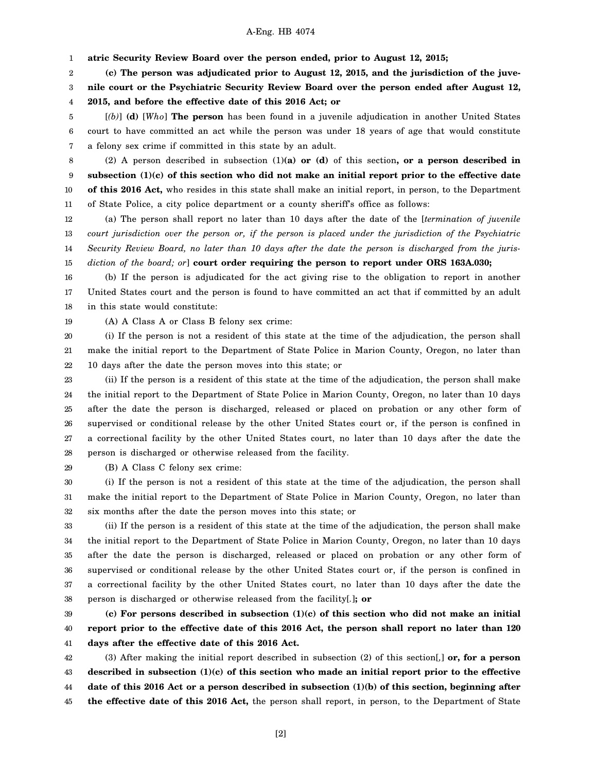1 **atric Security Review Board over the person ended, prior to August 12, 2015;**

2 **(c) The person was adjudicated prior to August 12, 2015, and the jurisdiction of the juve-**

3 **nile court or the Psychiatric Security Review Board over the person ended after August 12,**

4 **2015, and before the effective date of this 2016 Act; or**

5 6 7 [*(b)*] **(d)** [*Who*] **The person** has been found in a juvenile adjudication in another United States court to have committed an act while the person was under 18 years of age that would constitute a felony sex crime if committed in this state by an adult.

8 9 10 11 (2) A person described in subsection (1)**(a) or (d)** of this section**, or a person described in subsection (1)(c) of this section who did not make an initial report prior to the effective date of this 2016 Act,** who resides in this state shall make an initial report, in person, to the Department of State Police, a city police department or a county sheriff's office as follows:

12 13 14 15 (a) The person shall report no later than 10 days after the date of the [*termination of juvenile court jurisdiction over the person or, if the person is placed under the jurisdiction of the Psychiatric Security Review Board, no later than 10 days after the date the person is discharged from the jurisdiction of the board; or*] **court order requiring the person to report under ORS 163A.030;**

16 17 18 (b) If the person is adjudicated for the act giving rise to the obligation to report in another United States court and the person is found to have committed an act that if committed by an adult in this state would constitute:

19 (A) A Class A or Class B felony sex crime:

20 21 22 (i) If the person is not a resident of this state at the time of the adjudication, the person shall make the initial report to the Department of State Police in Marion County, Oregon, no later than 10 days after the date the person moves into this state; or

23 24 25 26 27 28 (ii) If the person is a resident of this state at the time of the adjudication, the person shall make the initial report to the Department of State Police in Marion County, Oregon, no later than 10 days after the date the person is discharged, released or placed on probation or any other form of supervised or conditional release by the other United States court or, if the person is confined in a correctional facility by the other United States court, no later than 10 days after the date the person is discharged or otherwise released from the facility.

29

(B) A Class C felony sex crime:

30 31 32 (i) If the person is not a resident of this state at the time of the adjudication, the person shall make the initial report to the Department of State Police in Marion County, Oregon, no later than six months after the date the person moves into this state; or

33 34 35 36 37 38 (ii) If the person is a resident of this state at the time of the adjudication, the person shall make the initial report to the Department of State Police in Marion County, Oregon, no later than 10 days after the date the person is discharged, released or placed on probation or any other form of supervised or conditional release by the other United States court or, if the person is confined in a correctional facility by the other United States court, no later than 10 days after the date the person is discharged or otherwise released from the facility[*.*]**; or**

39 40 41 **(c) For persons described in subsection (1)(c) of this section who did not make an initial report prior to the effective date of this 2016 Act, the person shall report no later than 120 days after the effective date of this 2016 Act.**

42 43 44 45 (3) After making the initial report described in subsection (2) of this section[*,*] **or, for a person described in subsection (1)(c) of this section who made an initial report prior to the effective date of this 2016 Act or a person described in subsection (1)(b) of this section, beginning after the effective date of this 2016 Act,** the person shall report, in person, to the Department of State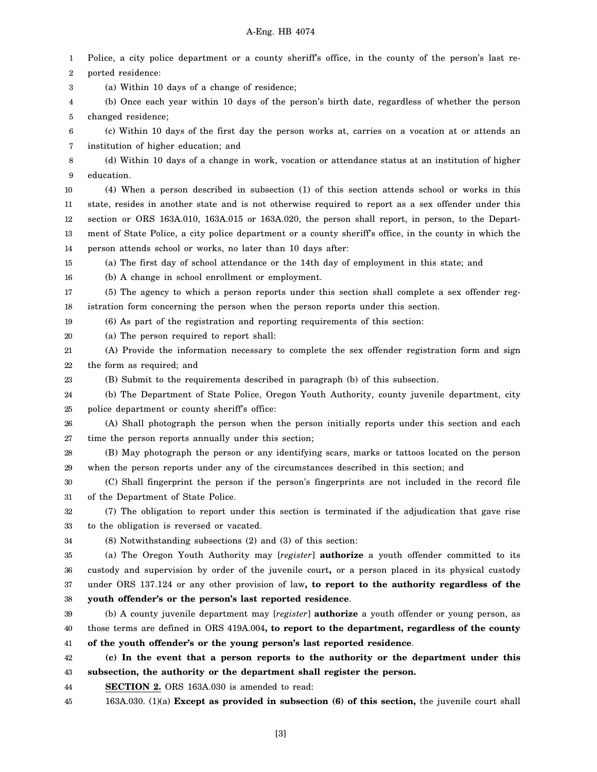1 2 3 4 5 6 7 8 9 10 11 12 13 14 15 16 17 18 19 20 21 22 23 24 25 26 27 28 29 30 31 32 33 34 35 36 37 38 39 40 41 42 43 44 45 Police, a city police department or a county sheriff's office, in the county of the person's last reported residence: (a) Within 10 days of a change of residence; (b) Once each year within 10 days of the person's birth date, regardless of whether the person changed residence; (c) Within 10 days of the first day the person works at, carries on a vocation at or attends an institution of higher education; and (d) Within 10 days of a change in work, vocation or attendance status at an institution of higher education. (4) When a person described in subsection (1) of this section attends school or works in this state, resides in another state and is not otherwise required to report as a sex offender under this section or ORS 163A.010, 163A.015 or 163A.020, the person shall report, in person, to the Department of State Police, a city police department or a county sheriff's office, in the county in which the person attends school or works, no later than 10 days after: (a) The first day of school attendance or the 14th day of employment in this state; and (b) A change in school enrollment or employment. (5) The agency to which a person reports under this section shall complete a sex offender registration form concerning the person when the person reports under this section. (6) As part of the registration and reporting requirements of this section: (a) The person required to report shall: (A) Provide the information necessary to complete the sex offender registration form and sign the form as required; and (B) Submit to the requirements described in paragraph (b) of this subsection. (b) The Department of State Police, Oregon Youth Authority, county juvenile department, city police department or county sheriff's office: (A) Shall photograph the person when the person initially reports under this section and each time the person reports annually under this section; (B) May photograph the person or any identifying scars, marks or tattoos located on the person when the person reports under any of the circumstances described in this section; and (C) Shall fingerprint the person if the person's fingerprints are not included in the record file of the Department of State Police. (7) The obligation to report under this section is terminated if the adjudication that gave rise to the obligation is reversed or vacated. (8) Notwithstanding subsections (2) and (3) of this section: (a) The Oregon Youth Authority may [*register*] **authorize** a youth offender committed to its custody and supervision by order of the juvenile court**,** or a person placed in its physical custody under ORS 137.124 or any other provision of law**, to report to the authority regardless of the youth offender's or the person's last reported residence**. (b) A county juvenile department may [*register*] **authorize** a youth offender or young person, as those terms are defined in ORS 419A.004**, to report to the department, regardless of the county of the youth offender's or the young person's last reported residence**. **(c) In the event that a person reports to the authority or the department under this subsection, the authority or the department shall register the person. SECTION 2.** ORS 163A.030 is amended to read: 163A.030. (1)(a) **Except as provided in subsection (6) of this section,** the juvenile court shall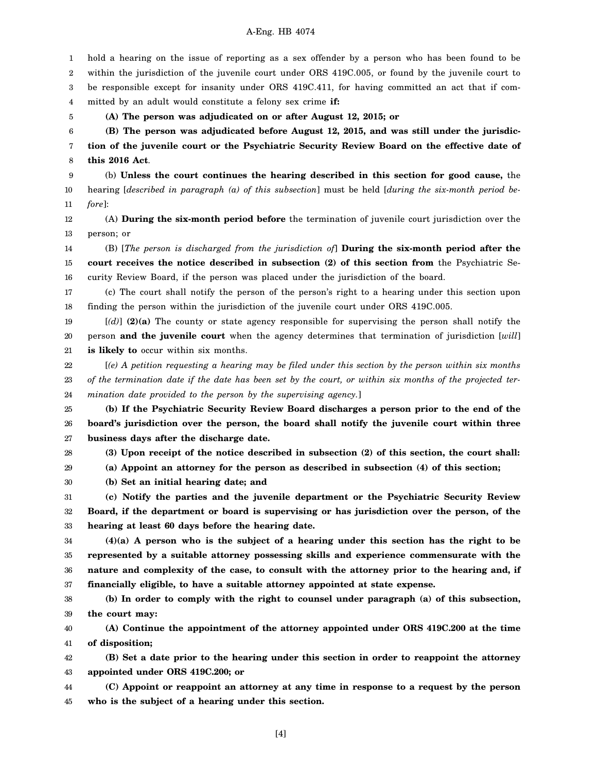1 2 3 4 5 6 7 8 9 10 11 12 13 14 15 16 17 18 19 20 21 22 23 24 25 26 27 28 29 30 31 32 33 34 35 36 37 38 39 40 41 hold a hearing on the issue of reporting as a sex offender by a person who has been found to be within the jurisdiction of the juvenile court under ORS 419C.005, or found by the juvenile court to be responsible except for insanity under ORS 419C.411, for having committed an act that if committed by an adult would constitute a felony sex crime **if: (A) The person was adjudicated on or after August 12, 2015; or (B) The person was adjudicated before August 12, 2015, and was still under the jurisdiction of the juvenile court or the Psychiatric Security Review Board on the effective date of this 2016 Act**. (b) **Unless the court continues the hearing described in this section for good cause,** the hearing [*described in paragraph (a) of this subsection*] must be held [*during the six-month period before*]: (A) **During the six-month period before** the termination of juvenile court jurisdiction over the person; or (B) [*The person is discharged from the jurisdiction of*] **During the six-month period after the court receives the notice described in subsection (2) of this section from** the Psychiatric Security Review Board, if the person was placed under the jurisdiction of the board. (c) The court shall notify the person of the person's right to a hearing under this section upon finding the person within the jurisdiction of the juvenile court under ORS 419C.005. [*(d)*] **(2)(a)** The county or state agency responsible for supervising the person shall notify the person **and the juvenile court** when the agency determines that termination of jurisdiction [*will*] **is likely to** occur within six months. [*(e) A petition requesting a hearing may be filed under this section by the person within six months of the termination date if the date has been set by the court, or within six months of the projected termination date provided to the person by the supervising agency.*] **(b) If the Psychiatric Security Review Board discharges a person prior to the end of the board's jurisdiction over the person, the board shall notify the juvenile court within three business days after the discharge date. (3) Upon receipt of the notice described in subsection (2) of this section, the court shall: (a) Appoint an attorney for the person as described in subsection (4) of this section; (b) Set an initial hearing date; and (c) Notify the parties and the juvenile department or the Psychiatric Security Review Board, if the department or board is supervising or has jurisdiction over the person, of the hearing at least 60 days before the hearing date. (4)(a) A person who is the subject of a hearing under this section has the right to be represented by a suitable attorney possessing skills and experience commensurate with the nature and complexity of the case, to consult with the attorney prior to the hearing and, if financially eligible, to have a suitable attorney appointed at state expense. (b) In order to comply with the right to counsel under paragraph (a) of this subsection, the court may: (A) Continue the appointment of the attorney appointed under ORS 419C.200 at the time of disposition;**

42 43 **(B) Set a date prior to the hearing under this section in order to reappoint the attorney appointed under ORS 419C.200; or**

44 45 **(C) Appoint or reappoint an attorney at any time in response to a request by the person who is the subject of a hearing under this section.**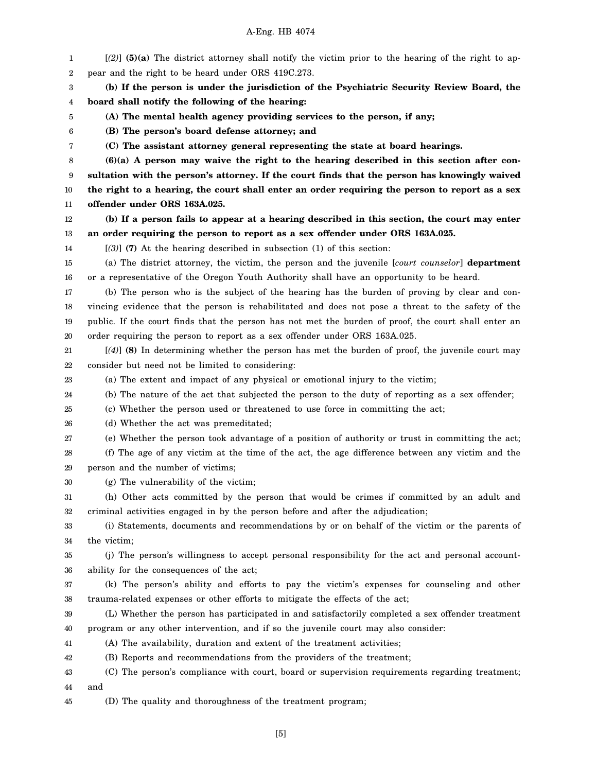1 2 3 4 5 6 7 8 9 10 11 12 13 14 15 16 17 18 19 20 21 22 23 24 25 26 27 28 29 30 31 32 33 34 35 36 37 38 39 40 41 42 43 44 [*(2)*] **(5)(a)** The district attorney shall notify the victim prior to the hearing of the right to appear and the right to be heard under ORS 419C.273. **(b) If the person is under the jurisdiction of the Psychiatric Security Review Board, the board shall notify the following of the hearing: (A) The mental health agency providing services to the person, if any; (B) The person's board defense attorney; and (C) The assistant attorney general representing the state at board hearings. (6)(a) A person may waive the right to the hearing described in this section after consultation with the person's attorney. If the court finds that the person has knowingly waived the right to a hearing, the court shall enter an order requiring the person to report as a sex offender under ORS 163A.025. (b) If a person fails to appear at a hearing described in this section, the court may enter an order requiring the person to report as a sex offender under ORS 163A.025.** [*(3)*] **(7)** At the hearing described in subsection (1) of this section: (a) The district attorney, the victim, the person and the juvenile [*court counselor*] **department** or a representative of the Oregon Youth Authority shall have an opportunity to be heard. (b) The person who is the subject of the hearing has the burden of proving by clear and convincing evidence that the person is rehabilitated and does not pose a threat to the safety of the public. If the court finds that the person has not met the burden of proof, the court shall enter an order requiring the person to report as a sex offender under ORS 163A.025. [*(4)*] **(8)** In determining whether the person has met the burden of proof, the juvenile court may consider but need not be limited to considering: (a) The extent and impact of any physical or emotional injury to the victim; (b) The nature of the act that subjected the person to the duty of reporting as a sex offender; (c) Whether the person used or threatened to use force in committing the act; (d) Whether the act was premeditated; (e) Whether the person took advantage of a position of authority or trust in committing the act; (f) The age of any victim at the time of the act, the age difference between any victim and the person and the number of victims; (g) The vulnerability of the victim; (h) Other acts committed by the person that would be crimes if committed by an adult and criminal activities engaged in by the person before and after the adjudication; (i) Statements, documents and recommendations by or on behalf of the victim or the parents of the victim; (j) The person's willingness to accept personal responsibility for the act and personal accountability for the consequences of the act; (k) The person's ability and efforts to pay the victim's expenses for counseling and other trauma-related expenses or other efforts to mitigate the effects of the act; (L) Whether the person has participated in and satisfactorily completed a sex offender treatment program or any other intervention, and if so the juvenile court may also consider: (A) The availability, duration and extent of the treatment activities; (B) Reports and recommendations from the providers of the treatment; (C) The person's compliance with court, board or supervision requirements regarding treatment; and

45 (D) The quality and thoroughness of the treatment program;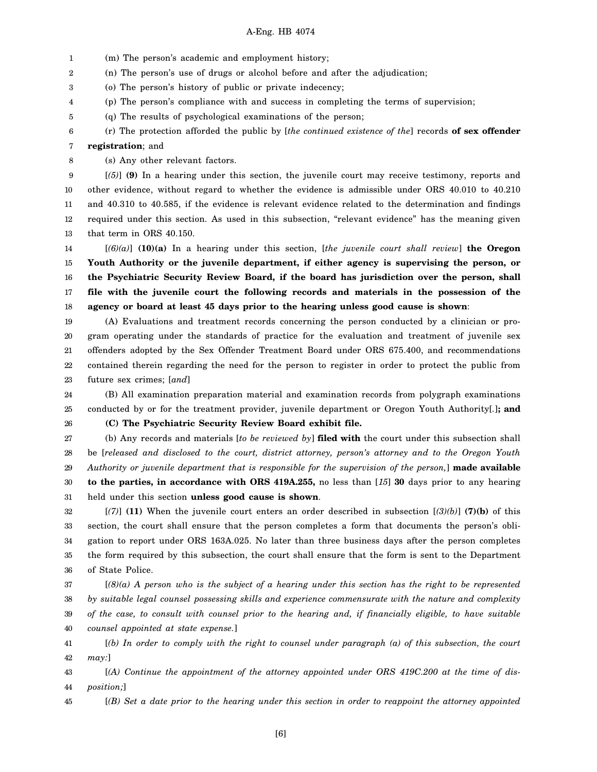1 (m) The person's academic and employment history;

2 (n) The person's use of drugs or alcohol before and after the adjudication;

3 (o) The person's history of public or private indecency;

4 (p) The person's compliance with and success in completing the terms of supervision;

5 (q) The results of psychological examinations of the person;

6 (r) The protection afforded the public by [*the continued existence of the*] records **of sex offender**

#### 7 **registration**; and

8 (s) Any other relevant factors.

9 10 11 12 13 [*(5)*] **(9)** In a hearing under this section, the juvenile court may receive testimony, reports and other evidence, without regard to whether the evidence is admissible under ORS 40.010 to 40.210 and 40.310 to 40.585, if the evidence is relevant evidence related to the determination and findings required under this section. As used in this subsection, "relevant evidence" has the meaning given that term in ORS 40.150.

14 15 16 17 18 [*(6)(a)*] **(10)(a)** In a hearing under this section, [*the juvenile court shall review*] **the Oregon Youth Authority or the juvenile department, if either agency is supervising the person, or the Psychiatric Security Review Board, if the board has jurisdiction over the person, shall file with the juvenile court the following records and materials in the possession of the agency or board at least 45 days prior to the hearing unless good cause is shown**:

19 20 21 22 23 (A) Evaluations and treatment records concerning the person conducted by a clinician or program operating under the standards of practice for the evaluation and treatment of juvenile sex offenders adopted by the Sex Offender Treatment Board under ORS 675.400, and recommendations contained therein regarding the need for the person to register in order to protect the public from future sex crimes; [*and*]

24 25 (B) All examination preparation material and examination records from polygraph examinations conducted by or for the treatment provider, juvenile department or Oregon Youth Authority[*.*]**; and**

26

**(C) The Psychiatric Security Review Board exhibit file.**

27 28 29 30 31 (b) Any records and materials [*to be reviewed by*] **filed with** the court under this subsection shall be [*released and disclosed to the court, district attorney, person's attorney and to the Oregon Youth Authority or juvenile department that is responsible for the supervision of the person,*] **made available to the parties, in accordance with ORS 419A.255,** no less than [*15*] **30** days prior to any hearing held under this section **unless good cause is shown**.

32 33 34 35 36 [*(7)*] **(11)** When the juvenile court enters an order described in subsection [*(3)(b)*] **(7)(b)** of this section, the court shall ensure that the person completes a form that documents the person's obligation to report under ORS 163A.025. No later than three business days after the person completes the form required by this subsection, the court shall ensure that the form is sent to the Department of State Police.

37 38 39 40 [*(8)(a) A person who is the subject of a hearing under this section has the right to be represented by suitable legal counsel possessing skills and experience commensurate with the nature and complexity of the case, to consult with counsel prior to the hearing and, if financially eligible, to have suitable counsel appointed at state expense.*]

41 42 [*(b) In order to comply with the right to counsel under paragraph (a) of this subsection, the court may:*]

43 44 [*(A) Continue the appointment of the attorney appointed under ORS 419C.200 at the time of disposition;*]

45 [*(B) Set a date prior to the hearing under this section in order to reappoint the attorney appointed*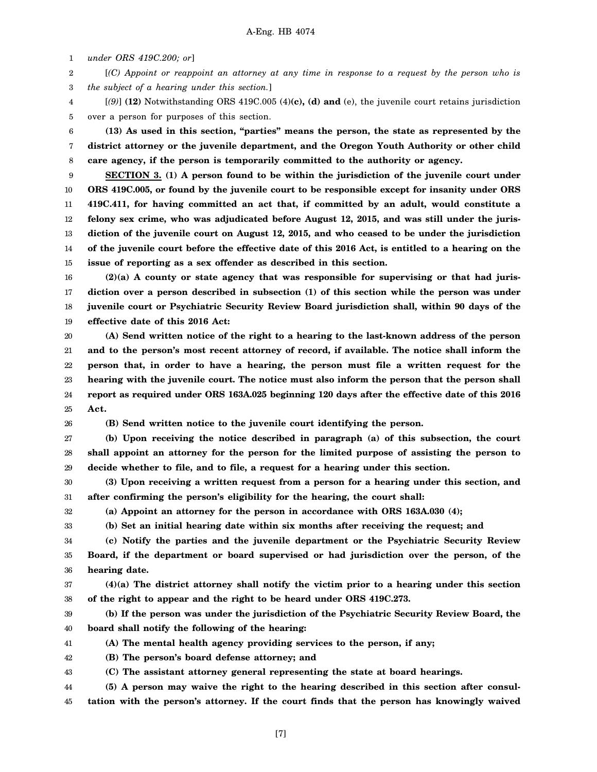1 *under ORS 419C.200; or*]

2 3 [*(C) Appoint or reappoint an attorney at any time in response to a request by the person who is the subject of a hearing under this section.*]

4 5 [*(9)*] **(12)** Notwithstanding ORS 419C.005 (4)**(c), (d) and** (e), the juvenile court retains jurisdiction over a person for purposes of this section.

6 7 8 **(13) As used in this section, "parties" means the person, the state as represented by the district attorney or the juvenile department, and the Oregon Youth Authority or other child care agency, if the person is temporarily committed to the authority or agency.**

9 10 11 12 13 14 15 **SECTION 3. (1) A person found to be within the jurisdiction of the juvenile court under ORS 419C.005, or found by the juvenile court to be responsible except for insanity under ORS 419C.411, for having committed an act that, if committed by an adult, would constitute a felony sex crime, who was adjudicated before August 12, 2015, and was still under the jurisdiction of the juvenile court on August 12, 2015, and who ceased to be under the jurisdiction of the juvenile court before the effective date of this 2016 Act, is entitled to a hearing on the issue of reporting as a sex offender as described in this section.**

16 17 18 19 **(2)(a) A county or state agency that was responsible for supervising or that had jurisdiction over a person described in subsection (1) of this section while the person was under juvenile court or Psychiatric Security Review Board jurisdiction shall, within 90 days of the effective date of this 2016 Act:**

20 21 22 23 24 25 **(A) Send written notice of the right to a hearing to the last-known address of the person and to the person's most recent attorney of record, if available. The notice shall inform the person that, in order to have a hearing, the person must file a written request for the hearing with the juvenile court. The notice must also inform the person that the person shall report as required under ORS 163A.025 beginning 120 days after the effective date of this 2016 Act.**

26

**(B) Send written notice to the juvenile court identifying the person.**

27 28 29 **(b) Upon receiving the notice described in paragraph (a) of this subsection, the court shall appoint an attorney for the person for the limited purpose of assisting the person to decide whether to file, and to file, a request for a hearing under this section.**

30 31 **(3) Upon receiving a written request from a person for a hearing under this section, and after confirming the person's eligibility for the hearing, the court shall:**

32 33 **(a) Appoint an attorney for the person in accordance with ORS 163A.030 (4);**

**(b) Set an initial hearing date within six months after receiving the request; and**

34 35 36 **(c) Notify the parties and the juvenile department or the Psychiatric Security Review Board, if the department or board supervised or had jurisdiction over the person, of the hearing date.**

37 38 **(4)(a) The district attorney shall notify the victim prior to a hearing under this section of the right to appear and the right to be heard under ORS 419C.273.**

39 40 **(b) If the person was under the jurisdiction of the Psychiatric Security Review Board, the board shall notify the following of the hearing:**

41 **(A) The mental health agency providing services to the person, if any;**

42 **(B) The person's board defense attorney; and**

43 **(C) The assistant attorney general representing the state at board hearings.**

44 45 **(5) A person may waive the right to the hearing described in this section after consultation with the person's attorney. If the court finds that the person has knowingly waived**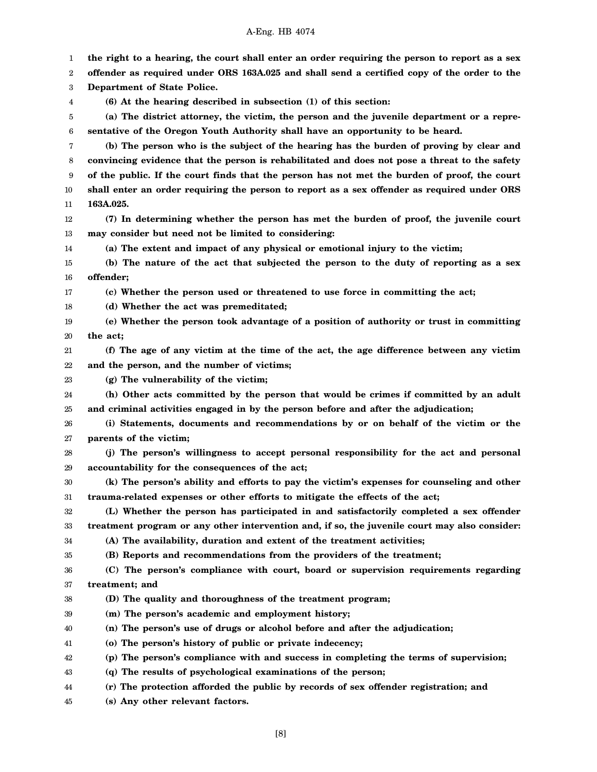1 2 3 4 5 6 7 8 9 10 11 12 13 14 15 16 17 18 19 20 21 22 23 24 25 26 27 28 29 30 31 32 33 34 35 36 37 38 39 40 41 42 43 44 45 **the right to a hearing, the court shall enter an order requiring the person to report as a sex offender as required under ORS 163A.025 and shall send a certified copy of the order to the Department of State Police. (6) At the hearing described in subsection (1) of this section: (a) The district attorney, the victim, the person and the juvenile department or a representative of the Oregon Youth Authority shall have an opportunity to be heard. (b) The person who is the subject of the hearing has the burden of proving by clear and convincing evidence that the person is rehabilitated and does not pose a threat to the safety of the public. If the court finds that the person has not met the burden of proof, the court shall enter an order requiring the person to report as a sex offender as required under ORS 163A.025. (7) In determining whether the person has met the burden of proof, the juvenile court may consider but need not be limited to considering: (a) The extent and impact of any physical or emotional injury to the victim; (b) The nature of the act that subjected the person to the duty of reporting as a sex offender; (c) Whether the person used or threatened to use force in committing the act; (d) Whether the act was premeditated; (e) Whether the person took advantage of a position of authority or trust in committing the act; (f) The age of any victim at the time of the act, the age difference between any victim and the person, and the number of victims; (g) The vulnerability of the victim; (h) Other acts committed by the person that would be crimes if committed by an adult and criminal activities engaged in by the person before and after the adjudication; (i) Statements, documents and recommendations by or on behalf of the victim or the parents of the victim; (j) The person's willingness to accept personal responsibility for the act and personal accountability for the consequences of the act; (k) The person's ability and efforts to pay the victim's expenses for counseling and other trauma-related expenses or other efforts to mitigate the effects of the act; (L) Whether the person has participated in and satisfactorily completed a sex offender treatment program or any other intervention and, if so, the juvenile court may also consider: (A) The availability, duration and extent of the treatment activities; (B) Reports and recommendations from the providers of the treatment; (C) The person's compliance with court, board or supervision requirements regarding treatment; and (D) The quality and thoroughness of the treatment program; (m) The person's academic and employment history; (n) The person's use of drugs or alcohol before and after the adjudication; (o) The person's history of public or private indecency; (p) The person's compliance with and success in completing the terms of supervision; (q) The results of psychological examinations of the person; (r) The protection afforded the public by records of sex offender registration; and (s) Any other relevant factors.**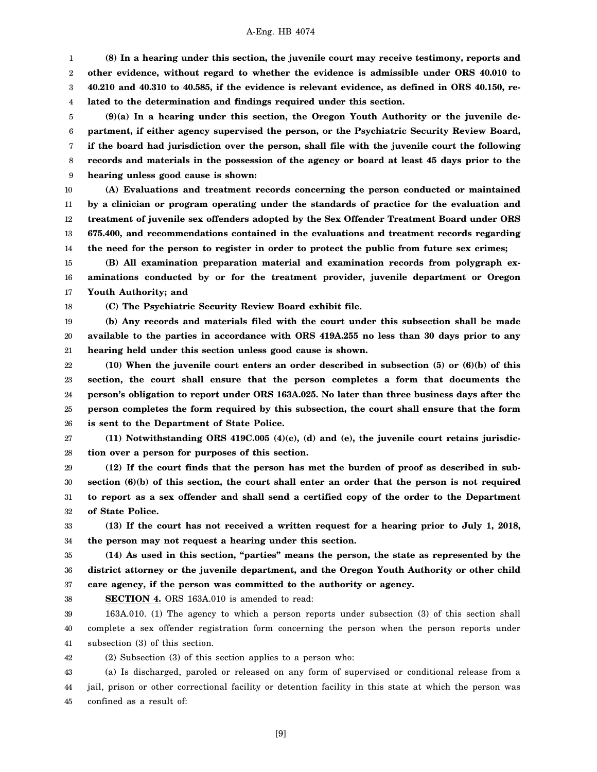1 2 3 4 **(8) In a hearing under this section, the juvenile court may receive testimony, reports and other evidence, without regard to whether the evidence is admissible under ORS 40.010 to 40.210 and 40.310 to 40.585, if the evidence is relevant evidence, as defined in ORS 40.150, related to the determination and findings required under this section.**

5 6 7 8 9 **(9)(a) In a hearing under this section, the Oregon Youth Authority or the juvenile department, if either agency supervised the person, or the Psychiatric Security Review Board, if the board had jurisdiction over the person, shall file with the juvenile court the following records and materials in the possession of the agency or board at least 45 days prior to the hearing unless good cause is shown:**

10 11 12 13 14 **(A) Evaluations and treatment records concerning the person conducted or maintained by a clinician or program operating under the standards of practice for the evaluation and treatment of juvenile sex offenders adopted by the Sex Offender Treatment Board under ORS 675.400, and recommendations contained in the evaluations and treatment records regarding the need for the person to register in order to protect the public from future sex crimes;**

15 16 17 **(B) All examination preparation material and examination records from polygraph examinations conducted by or for the treatment provider, juvenile department or Oregon Youth Authority; and**

**(C) The Psychiatric Security Review Board exhibit file.**

18

38

19 20 21 **(b) Any records and materials filed with the court under this subsection shall be made available to the parties in accordance with ORS 419A.255 no less than 30 days prior to any hearing held under this section unless good cause is shown.**

22 23 24 25 26 **(10) When the juvenile court enters an order described in subsection (5) or (6)(b) of this section, the court shall ensure that the person completes a form that documents the person's obligation to report under ORS 163A.025. No later than three business days after the person completes the form required by this subsection, the court shall ensure that the form is sent to the Department of State Police.**

27 28 **(11) Notwithstanding ORS 419C.005 (4)(c), (d) and (e), the juvenile court retains jurisdiction over a person for purposes of this section.**

29 30 31 32 **(12) If the court finds that the person has met the burden of proof as described in subsection (6)(b) of this section, the court shall enter an order that the person is not required to report as a sex offender and shall send a certified copy of the order to the Department of State Police.**

33 34 **(13) If the court has not received a written request for a hearing prior to July 1, 2018, the person may not request a hearing under this section.**

35 36 37 **(14) As used in this section, "parties" means the person, the state as represented by the district attorney or the juvenile department, and the Oregon Youth Authority or other child care agency, if the person was committed to the authority or agency.**

**SECTION 4.** ORS 163A.010 is amended to read:

39 40 41 163A.010. (1) The agency to which a person reports under subsection (3) of this section shall complete a sex offender registration form concerning the person when the person reports under subsection (3) of this section.

42 (2) Subsection (3) of this section applies to a person who:

43 44 45 (a) Is discharged, paroled or released on any form of supervised or conditional release from a jail, prison or other correctional facility or detention facility in this state at which the person was confined as a result of:

[9]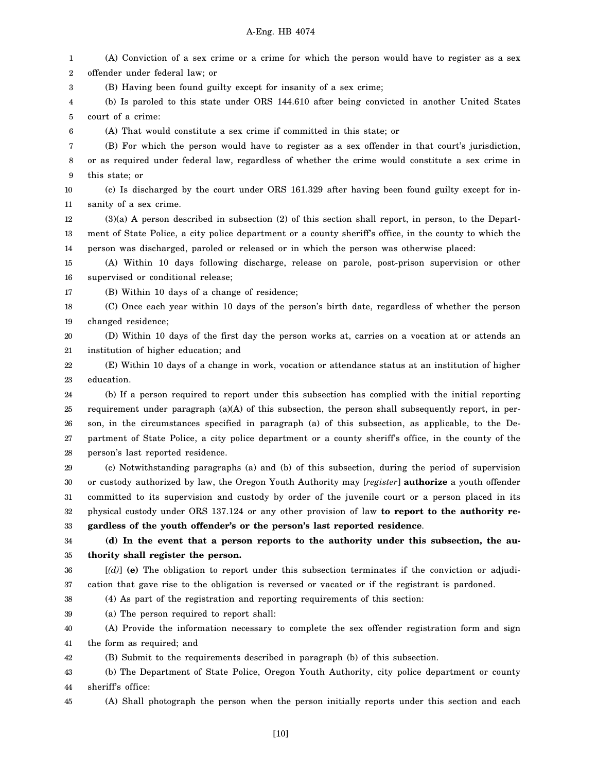1 2 3 (A) Conviction of a sex crime or a crime for which the person would have to register as a sex offender under federal law; or (B) Having been found guilty except for insanity of a sex crime;

4 5 (b) Is paroled to this state under ORS 144.610 after being convicted in another United States court of a crime:

(A) That would constitute a sex crime if committed in this state; or

7 (B) For which the person would have to register as a sex offender in that court's jurisdiction,

8 9 or as required under federal law, regardless of whether the crime would constitute a sex crime in this state; or

10 11 (c) Is discharged by the court under ORS 161.329 after having been found guilty except for insanity of a sex crime.

12 13 14 (3)(a) A person described in subsection (2) of this section shall report, in person, to the Department of State Police, a city police department or a county sheriff's office, in the county to which the person was discharged, paroled or released or in which the person was otherwise placed:

15 16 (A) Within 10 days following discharge, release on parole, post-prison supervision or other supervised or conditional release;

17

6

(B) Within 10 days of a change of residence;

18 19 (C) Once each year within 10 days of the person's birth date, regardless of whether the person changed residence;

20 21 (D) Within 10 days of the first day the person works at, carries on a vocation at or attends an institution of higher education; and

22 23 (E) Within 10 days of a change in work, vocation or attendance status at an institution of higher education.

24 25 26 27 28 (b) If a person required to report under this subsection has complied with the initial reporting requirement under paragraph  $(a)(A)$  of this subsection, the person shall subsequently report, in person, in the circumstances specified in paragraph (a) of this subsection, as applicable, to the Department of State Police, a city police department or a county sheriff's office, in the county of the person's last reported residence.

29 30 31 32 33 (c) Notwithstanding paragraphs (a) and (b) of this subsection, during the period of supervision or custody authorized by law, the Oregon Youth Authority may [*register*] **authorize** a youth offender committed to its supervision and custody by order of the juvenile court or a person placed in its physical custody under ORS 137.124 or any other provision of law **to report to the authority regardless of the youth offender's or the person's last reported residence**.

34 35 **(d) In the event that a person reports to the authority under this subsection, the authority shall register the person.**

36

[*(d)*] **(e)** The obligation to report under this subsection terminates if the conviction or adjudi-

37 cation that gave rise to the obligation is reversed or vacated or if the registrant is pardoned.

38 (4) As part of the registration and reporting requirements of this section:

39 (a) The person required to report shall:

40 41 (A) Provide the information necessary to complete the sex offender registration form and sign the form as required; and

42 (B) Submit to the requirements described in paragraph (b) of this subsection.

43 44 (b) The Department of State Police, Oregon Youth Authority, city police department or county sheriff's office:

45 (A) Shall photograph the person when the person initially reports under this section and each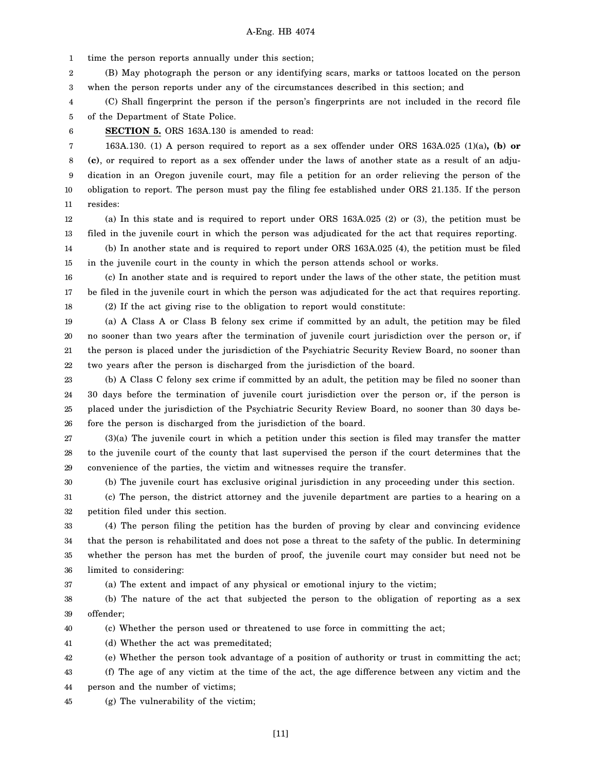1 time the person reports annually under this section;

2 3 (B) May photograph the person or any identifying scars, marks or tattoos located on the person when the person reports under any of the circumstances described in this section; and

4 5 (C) Shall fingerprint the person if the person's fingerprints are not included in the record file of the Department of State Police.

6

30

**SECTION 5.** ORS 163A.130 is amended to read:

7 8 9 10 11 163A.130. (1) A person required to report as a sex offender under ORS 163A.025 (1)(a)**, (b) or (c)**, or required to report as a sex offender under the laws of another state as a result of an adjudication in an Oregon juvenile court, may file a petition for an order relieving the person of the obligation to report. The person must pay the filing fee established under ORS 21.135. If the person resides:

12 13 (a) In this state and is required to report under ORS 163A.025 (2) or (3), the petition must be filed in the juvenile court in which the person was adjudicated for the act that requires reporting.

14 15 (b) In another state and is required to report under ORS 163A.025 (4), the petition must be filed in the juvenile court in the county in which the person attends school or works.

16 17 18 (c) In another state and is required to report under the laws of the other state, the petition must be filed in the juvenile court in which the person was adjudicated for the act that requires reporting. (2) If the act giving rise to the obligation to report would constitute:

19 20 21 22 (a) A Class A or Class B felony sex crime if committed by an adult, the petition may be filed no sooner than two years after the termination of juvenile court jurisdiction over the person or, if the person is placed under the jurisdiction of the Psychiatric Security Review Board, no sooner than two years after the person is discharged from the jurisdiction of the board.

23 24 25 26 (b) A Class C felony sex crime if committed by an adult, the petition may be filed no sooner than 30 days before the termination of juvenile court jurisdiction over the person or, if the person is placed under the jurisdiction of the Psychiatric Security Review Board, no sooner than 30 days before the person is discharged from the jurisdiction of the board.

27 28 29 (3)(a) The juvenile court in which a petition under this section is filed may transfer the matter to the juvenile court of the county that last supervised the person if the court determines that the convenience of the parties, the victim and witnesses require the transfer.

(b) The juvenile court has exclusive original jurisdiction in any proceeding under this section.

31 32 (c) The person, the district attorney and the juvenile department are parties to a hearing on a petition filed under this section.

33 34 35 36 (4) The person filing the petition has the burden of proving by clear and convincing evidence that the person is rehabilitated and does not pose a threat to the safety of the public. In determining whether the person has met the burden of proof, the juvenile court may consider but need not be limited to considering:

37 (a) The extent and impact of any physical or emotional injury to the victim;

38 39 (b) The nature of the act that subjected the person to the obligation of reporting as a sex offender;

40 (c) Whether the person used or threatened to use force in committing the act;

41 (d) Whether the act was premeditated;

42 (e) Whether the person took advantage of a position of authority or trust in committing the act;

43 44 (f) The age of any victim at the time of the act, the age difference between any victim and the person and the number of victims;

45 (g) The vulnerability of the victim;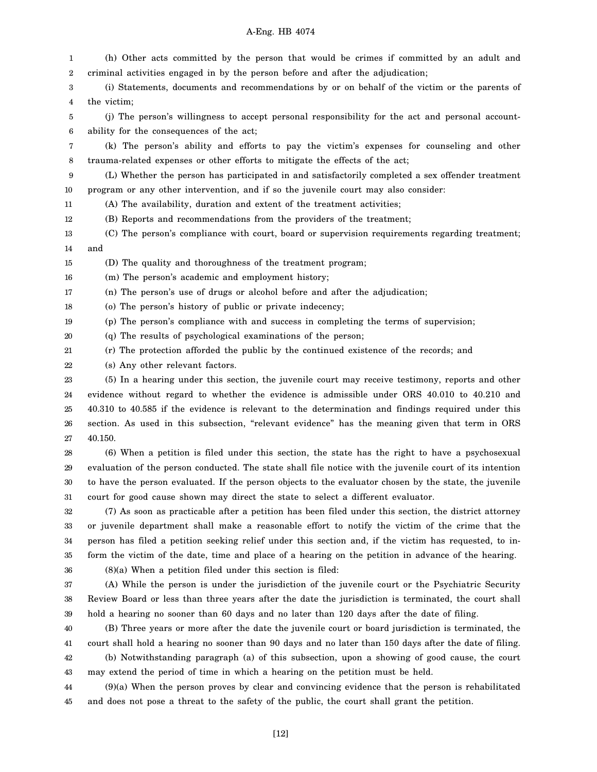| 1      | (h) Other acts committed by the person that would be crimes if committed by an adult and                 |
|--------|----------------------------------------------------------------------------------------------------------|
| 2      | criminal activities engaged in by the person before and after the adjudication;                          |
| 3      | (i) Statements, documents and recommendations by or on behalf of the victim or the parents of            |
| 4      | the victim;                                                                                              |
| 5      | (j) The person's willingness to accept personal responsibility for the act and personal account-         |
| 6      | ability for the consequences of the act;                                                                 |
| 7      | (k) The person's ability and efforts to pay the victim's expenses for counseling and other               |
| 8      | trauma-related expenses or other efforts to mitigate the effects of the act;                             |
| 9      | (L) Whether the person has participated in and satisfactorily completed a sex offender treatment         |
| 10     | program or any other intervention, and if so the juvenile court may also consider:                       |
| 11     | (A) The availability, duration and extent of the treatment activities;                                   |
| 12     | (B) Reports and recommendations from the providers of the treatment;                                     |
| 13     | (C) The person's compliance with court, board or supervision requirements regarding treatment;           |
| 14     | and                                                                                                      |
| 15     | (D) The quality and thoroughness of the treatment program;                                               |
| 16     | (m) The person's academic and employment history;                                                        |
| 17     | (n) The person's use of drugs or alcohol before and after the adjudication;                              |
| 18     | (o) The person's history of public or private indecency;                                                 |
| 19     | (p) The person's compliance with and success in completing the terms of supervision;                     |
| 20     | (q) The results of psychological examinations of the person;                                             |
| 21     | (r) The protection afforded the public by the continued existence of the records; and                    |
| 22     | (s) Any other relevant factors.                                                                          |
| 23     | (5) In a hearing under this section, the juvenile court may receive testimony, reports and other         |
| 24     | evidence without regard to whether the evidence is admissible under ORS 40.010 to 40.210 and             |
| 25     | 40.310 to 40.585 if the evidence is relevant to the determination and findings required under this       |
| 26     | section. As used in this subsection, "relevant evidence" has the meaning given that term in ORS          |
| 27     | 40.150.                                                                                                  |
| 28     | (6) When a petition is filed under this section, the state has the right to have a psychosexual          |
| 29     | evaluation of the person conducted. The state shall file notice with the juvenile court of its intention |
| $30\,$ | to have the person evaluated. If the person objects to the evaluator chosen by the state, the juvenile   |
| 31     | court for good cause shown may direct the state to select a different evaluator.                         |
| 32     | (7) As soon as practicable after a petition has been filed under this section, the district attorney     |
| 33     | or juvenile department shall make a reasonable effort to notify the victim of the crime that the         |
| 34     | person has filed a petition seeking relief under this section and, if the victim has requested, to in-   |
| 35     | form the victim of the date, time and place of a hearing on the petition in advance of the hearing.      |
| 36     | $(8)(a)$ When a petition filed under this section is filed:                                              |
| 37     | (A) While the person is under the jurisdiction of the juvenile court or the Psychiatric Security         |
| 38     | Review Board or less than three years after the date the jurisdiction is terminated, the court shall     |
| 39     | hold a hearing no sooner than 60 days and no later than 120 days after the date of filing.               |
| 40     | (B) Three years or more after the date the juvenile court or board jurisdiction is terminated, the       |
| 41     | court shall hold a hearing no sooner than 90 days and no later than 150 days after the date of filing.   |

42 43 (b) Notwithstanding paragraph (a) of this subsection, upon a showing of good cause, the court may extend the period of time in which a hearing on the petition must be held.

44 45 (9)(a) When the person proves by clear and convincing evidence that the person is rehabilitated and does not pose a threat to the safety of the public, the court shall grant the petition.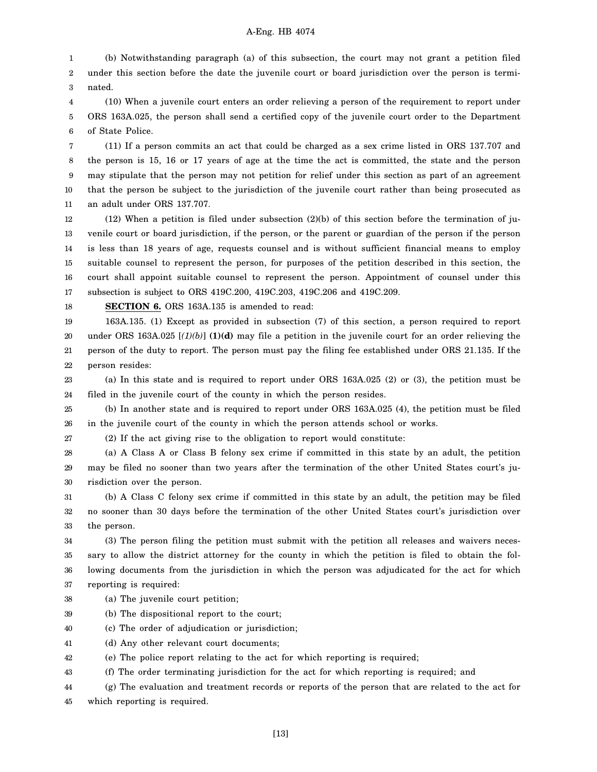1 2 3 (b) Notwithstanding paragraph (a) of this subsection, the court may not grant a petition filed under this section before the date the juvenile court or board jurisdiction over the person is terminated.

4 5 6 (10) When a juvenile court enters an order relieving a person of the requirement to report under ORS 163A.025, the person shall send a certified copy of the juvenile court order to the Department of State Police.

7 8 9 10 11 (11) If a person commits an act that could be charged as a sex crime listed in ORS 137.707 and the person is 15, 16 or 17 years of age at the time the act is committed, the state and the person may stipulate that the person may not petition for relief under this section as part of an agreement that the person be subject to the jurisdiction of the juvenile court rather than being prosecuted as an adult under ORS 137.707.

12 13 14 15 16 17 (12) When a petition is filed under subsection (2)(b) of this section before the termination of juvenile court or board jurisdiction, if the person, or the parent or guardian of the person if the person is less than 18 years of age, requests counsel and is without sufficient financial means to employ suitable counsel to represent the person, for purposes of the petition described in this section, the court shall appoint suitable counsel to represent the person. Appointment of counsel under this subsection is subject to ORS 419C.200, 419C.203, 419C.206 and 419C.209.

18

**SECTION 6.** ORS 163A.135 is amended to read:

19 20 21 22 163A.135. (1) Except as provided in subsection (7) of this section, a person required to report under ORS 163A.025 [*(1)(b)*] **(1)(d)** may file a petition in the juvenile court for an order relieving the person of the duty to report. The person must pay the filing fee established under ORS 21.135. If the person resides:

23 24 (a) In this state and is required to report under ORS 163A.025 (2) or (3), the petition must be filed in the juvenile court of the county in which the person resides.

25 26 (b) In another state and is required to report under ORS 163A.025 (4), the petition must be filed in the juvenile court of the county in which the person attends school or works.

27 (2) If the act giving rise to the obligation to report would constitute:

28 29 30 (a) A Class A or Class B felony sex crime if committed in this state by an adult, the petition may be filed no sooner than two years after the termination of the other United States court's jurisdiction over the person.

31 32 33 (b) A Class C felony sex crime if committed in this state by an adult, the petition may be filed no sooner than 30 days before the termination of the other United States court's jurisdiction over the person.

34 35 36 37 (3) The person filing the petition must submit with the petition all releases and waivers necessary to allow the district attorney for the county in which the petition is filed to obtain the following documents from the jurisdiction in which the person was adjudicated for the act for which reporting is required:

- 38 (a) The juvenile court petition;
- 39 (b) The dispositional report to the court;
- 40 (c) The order of adjudication or jurisdiction;

41 (d) Any other relevant court documents;

42 (e) The police report relating to the act for which reporting is required;

43 (f) The order terminating jurisdiction for the act for which reporting is required; and

44 (g) The evaluation and treatment records or reports of the person that are related to the act for

45 which reporting is required.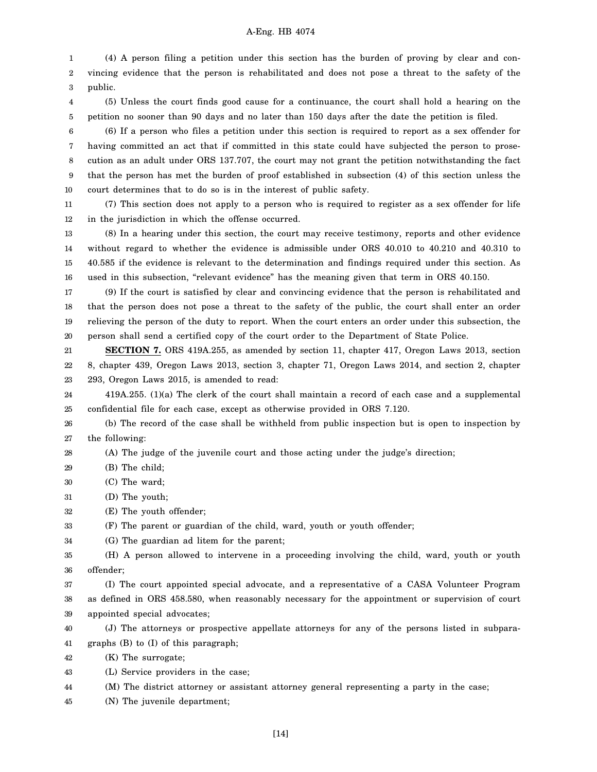1 2 3 (4) A person filing a petition under this section has the burden of proving by clear and convincing evidence that the person is rehabilitated and does not pose a threat to the safety of the public.

4 5 (5) Unless the court finds good cause for a continuance, the court shall hold a hearing on the petition no sooner than 90 days and no later than 150 days after the date the petition is filed.

6 7 8 9 10 (6) If a person who files a petition under this section is required to report as a sex offender for having committed an act that if committed in this state could have subjected the person to prosecution as an adult under ORS 137.707, the court may not grant the petition notwithstanding the fact that the person has met the burden of proof established in subsection (4) of this section unless the court determines that to do so is in the interest of public safety.

11 12 (7) This section does not apply to a person who is required to register as a sex offender for life in the jurisdiction in which the offense occurred.

13 14 15 16 (8) In a hearing under this section, the court may receive testimony, reports and other evidence without regard to whether the evidence is admissible under ORS 40.010 to 40.210 and 40.310 to 40.585 if the evidence is relevant to the determination and findings required under this section. As used in this subsection, "relevant evidence" has the meaning given that term in ORS 40.150.

17 18 19 20 (9) If the court is satisfied by clear and convincing evidence that the person is rehabilitated and that the person does not pose a threat to the safety of the public, the court shall enter an order relieving the person of the duty to report. When the court enters an order under this subsection, the person shall send a certified copy of the court order to the Department of State Police.

21 22 23 **SECTION 7.** ORS 419A.255, as amended by section 11, chapter 417, Oregon Laws 2013, section 8, chapter 439, Oregon Laws 2013, section 3, chapter 71, Oregon Laws 2014, and section 2, chapter 293, Oregon Laws 2015, is amended to read:

24 25 419A.255. (1)(a) The clerk of the court shall maintain a record of each case and a supplemental confidential file for each case, except as otherwise provided in ORS 7.120.

26 27 (b) The record of the case shall be withheld from public inspection but is open to inspection by the following:

28 (A) The judge of the juvenile court and those acting under the judge's direction;

- 29 (B) The child;
- 30 (C) The ward;
- 31 (D) The youth;
- 32 (E) The youth offender;

33 (F) The parent or guardian of the child, ward, youth or youth offender;

34 (G) The guardian ad litem for the parent;

35 36 (H) A person allowed to intervene in a proceeding involving the child, ward, youth or youth offender;

37 38 39 (I) The court appointed special advocate, and a representative of a CASA Volunteer Program as defined in ORS 458.580, when reasonably necessary for the appointment or supervision of court appointed special advocates;

40 41 (J) The attorneys or prospective appellate attorneys for any of the persons listed in subparagraphs (B) to (I) of this paragraph;

42 (K) The surrogate;

43 (L) Service providers in the case;

44 (M) The district attorney or assistant attorney general representing a party in the case;

45 (N) The juvenile department;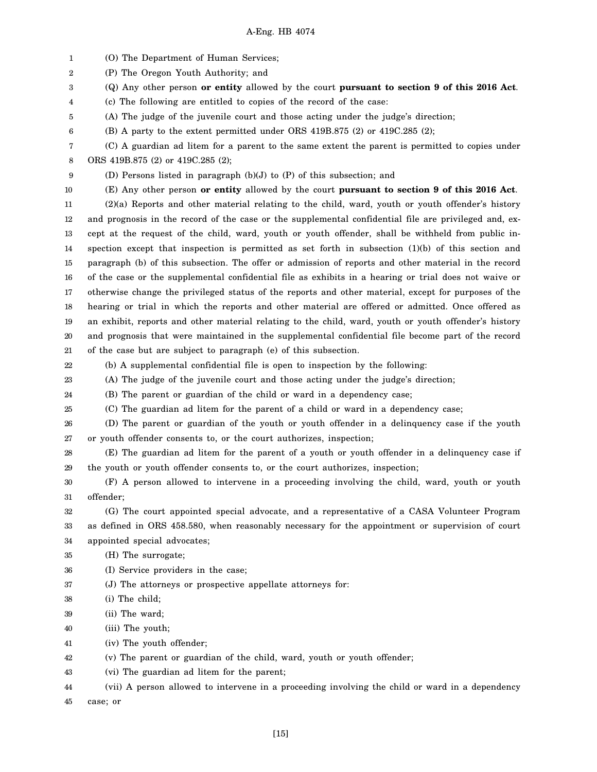1 2 3 4 5 6 7 8 9 10 11 12 13 14 15 16 17 18 19 20 21 22 23 24 25 26 27 28 29 30 31 32 33 34 35 36 37 38 39 40 41 42 43 44 (O) The Department of Human Services; (P) The Oregon Youth Authority; and (Q) Any other person **or entity** allowed by the court **pursuant to section 9 of this 2016 Act**. (c) The following are entitled to copies of the record of the case: (A) The judge of the juvenile court and those acting under the judge's direction; (B) A party to the extent permitted under ORS 419B.875 (2) or 419C.285 (2); (C) A guardian ad litem for a parent to the same extent the parent is permitted to copies under ORS 419B.875 (2) or 419C.285 (2); (D) Persons listed in paragraph (b)(J) to (P) of this subsection; and (E) Any other person **or entity** allowed by the court **pursuant to section 9 of this 2016 Act**. (2)(a) Reports and other material relating to the child, ward, youth or youth offender's history and prognosis in the record of the case or the supplemental confidential file are privileged and, except at the request of the child, ward, youth or youth offender, shall be withheld from public inspection except that inspection is permitted as set forth in subsection (1)(b) of this section and paragraph (b) of this subsection. The offer or admission of reports and other material in the record of the case or the supplemental confidential file as exhibits in a hearing or trial does not waive or otherwise change the privileged status of the reports and other material, except for purposes of the hearing or trial in which the reports and other material are offered or admitted. Once offered as an exhibit, reports and other material relating to the child, ward, youth or youth offender's history and prognosis that were maintained in the supplemental confidential file become part of the record of the case but are subject to paragraph (e) of this subsection. (b) A supplemental confidential file is open to inspection by the following: (A) The judge of the juvenile court and those acting under the judge's direction; (B) The parent or guardian of the child or ward in a dependency case; (C) The guardian ad litem for the parent of a child or ward in a dependency case; (D) The parent or guardian of the youth or youth offender in a delinquency case if the youth or youth offender consents to, or the court authorizes, inspection; (E) The guardian ad litem for the parent of a youth or youth offender in a delinquency case if the youth or youth offender consents to, or the court authorizes, inspection; (F) A person allowed to intervene in a proceeding involving the child, ward, youth or youth offender; (G) The court appointed special advocate, and a representative of a CASA Volunteer Program as defined in ORS 458.580, when reasonably necessary for the appointment or supervision of court appointed special advocates; (H) The surrogate; (I) Service providers in the case; (J) The attorneys or prospective appellate attorneys for: (i) The child; (ii) The ward; (iii) The youth; (iv) The youth offender; (v) The parent or guardian of the child, ward, youth or youth offender; (vi) The guardian ad litem for the parent; (vii) A person allowed to intervene in a proceeding involving the child or ward in a dependency

45 case; or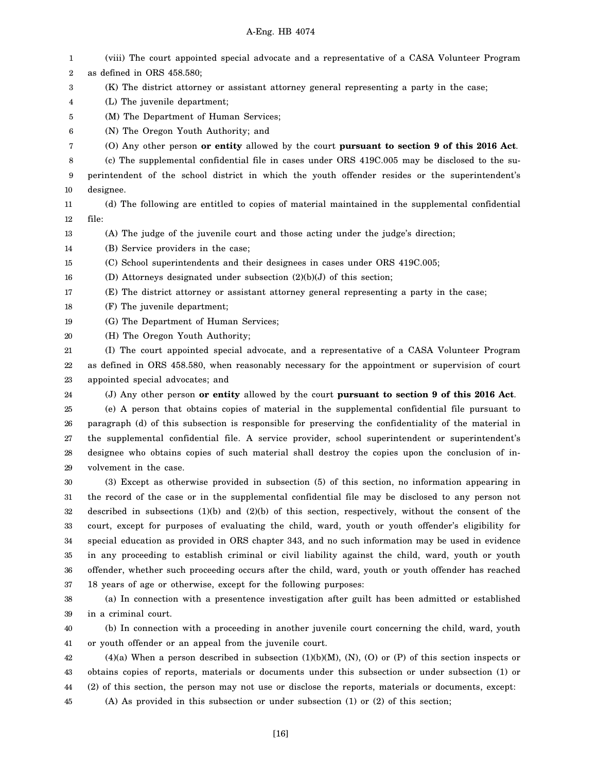1 2 3 4 5 6 7 8 9 10 11 12 13 14 15 16 17 18 19 20 21 22 23 24 25 26 27 28 29 30 31 32 33 34 35 36 37 38 39 40 41 (viii) The court appointed special advocate and a representative of a CASA Volunteer Program as defined in ORS 458.580; (K) The district attorney or assistant attorney general representing a party in the case; (L) The juvenile department; (M) The Department of Human Services; (N) The Oregon Youth Authority; and (O) Any other person **or entity** allowed by the court **pursuant to section 9 of this 2016 Act**. (c) The supplemental confidential file in cases under ORS 419C.005 may be disclosed to the superintendent of the school district in which the youth offender resides or the superintendent's designee. (d) The following are entitled to copies of material maintained in the supplemental confidential file: (A) The judge of the juvenile court and those acting under the judge's direction; (B) Service providers in the case; (C) School superintendents and their designees in cases under ORS 419C.005; (D) Attorneys designated under subsection (2)(b)(J) of this section; (E) The district attorney or assistant attorney general representing a party in the case; (F) The juvenile department; (G) The Department of Human Services; (H) The Oregon Youth Authority; (I) The court appointed special advocate, and a representative of a CASA Volunteer Program as defined in ORS 458.580, when reasonably necessary for the appointment or supervision of court appointed special advocates; and (J) Any other person **or entity** allowed by the court **pursuant to section 9 of this 2016 Act**. (e) A person that obtains copies of material in the supplemental confidential file pursuant to paragraph (d) of this subsection is responsible for preserving the confidentiality of the material in the supplemental confidential file. A service provider, school superintendent or superintendent's designee who obtains copies of such material shall destroy the copies upon the conclusion of involvement in the case. (3) Except as otherwise provided in subsection (5) of this section, no information appearing in the record of the case or in the supplemental confidential file may be disclosed to any person not described in subsections (1)(b) and (2)(b) of this section, respectively, without the consent of the court, except for purposes of evaluating the child, ward, youth or youth offender's eligibility for special education as provided in ORS chapter 343, and no such information may be used in evidence in any proceeding to establish criminal or civil liability against the child, ward, youth or youth offender, whether such proceeding occurs after the child, ward, youth or youth offender has reached 18 years of age or otherwise, except for the following purposes: (a) In connection with a presentence investigation after guilt has been admitted or established in a criminal court. (b) In connection with a proceeding in another juvenile court concerning the child, ward, youth or youth offender or an appeal from the juvenile court.

42 43 44 45  $(4)(a)$  When a person described in subsection  $(1)(b)(M)$ ,  $(N)$ ,  $(O)$  or  $(P)$  of this section inspects or obtains copies of reports, materials or documents under this subsection or under subsection (1) or (2) of this section, the person may not use or disclose the reports, materials or documents, except: (A) As provided in this subsection or under subsection (1) or (2) of this section;

[16]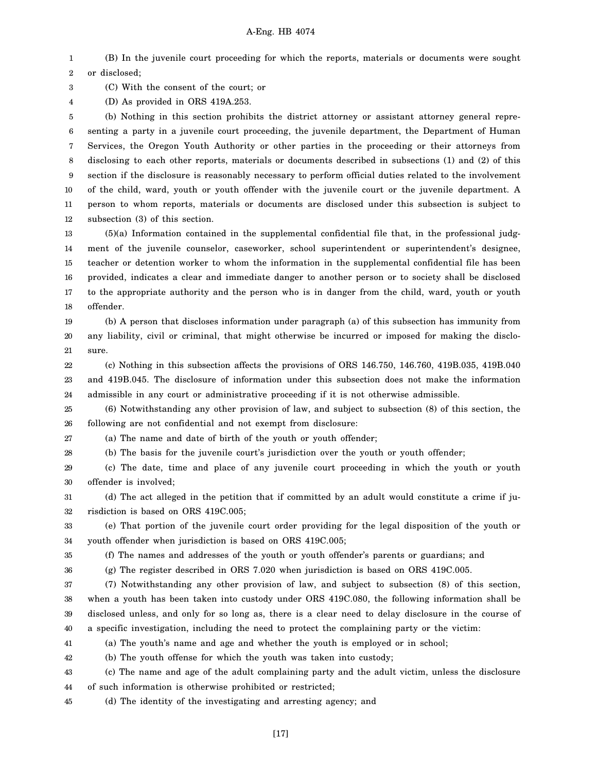1 2 (B) In the juvenile court proceeding for which the reports, materials or documents were sought or disclosed;

3 (C) With the consent of the court; or

4 (D) As provided in ORS 419A.253.

5 6 7 8 9 10 11 12 (b) Nothing in this section prohibits the district attorney or assistant attorney general representing a party in a juvenile court proceeding, the juvenile department, the Department of Human Services, the Oregon Youth Authority or other parties in the proceeding or their attorneys from disclosing to each other reports, materials or documents described in subsections (1) and (2) of this section if the disclosure is reasonably necessary to perform official duties related to the involvement of the child, ward, youth or youth offender with the juvenile court or the juvenile department. A person to whom reports, materials or documents are disclosed under this subsection is subject to subsection (3) of this section.

13 14 15 16 17 18 (5)(a) Information contained in the supplemental confidential file that, in the professional judgment of the juvenile counselor, caseworker, school superintendent or superintendent's designee, teacher or detention worker to whom the information in the supplemental confidential file has been provided, indicates a clear and immediate danger to another person or to society shall be disclosed to the appropriate authority and the person who is in danger from the child, ward, youth or youth offender.

19 20 21 (b) A person that discloses information under paragraph (a) of this subsection has immunity from any liability, civil or criminal, that might otherwise be incurred or imposed for making the disclosure.

22 23 24 (c) Nothing in this subsection affects the provisions of ORS 146.750, 146.760, 419B.035, 419B.040 and 419B.045. The disclosure of information under this subsection does not make the information admissible in any court or administrative proceeding if it is not otherwise admissible.

25 26 (6) Notwithstanding any other provision of law, and subject to subsection (8) of this section, the following are not confidential and not exempt from disclosure:

27 (a) The name and date of birth of the youth or youth offender;

28 (b) The basis for the juvenile court's jurisdiction over the youth or youth offender;

29 30 (c) The date, time and place of any juvenile court proceeding in which the youth or youth offender is involved;

31 32 (d) The act alleged in the petition that if committed by an adult would constitute a crime if jurisdiction is based on ORS 419C.005;

33 34 (e) That portion of the juvenile court order providing for the legal disposition of the youth or youth offender when jurisdiction is based on ORS 419C.005;

35 (f) The names and addresses of the youth or youth offender's parents or guardians; and

36 (g) The register described in ORS 7.020 when jurisdiction is based on ORS 419C.005.

37 38 39 40 (7) Notwithstanding any other provision of law, and subject to subsection (8) of this section, when a youth has been taken into custody under ORS 419C.080, the following information shall be disclosed unless, and only for so long as, there is a clear need to delay disclosure in the course of a specific investigation, including the need to protect the complaining party or the victim:

41 (a) The youth's name and age and whether the youth is employed or in school;

42 (b) The youth offense for which the youth was taken into custody;

43 44 (c) The name and age of the adult complaining party and the adult victim, unless the disclosure of such information is otherwise prohibited or restricted;

45 (d) The identity of the investigating and arresting agency; and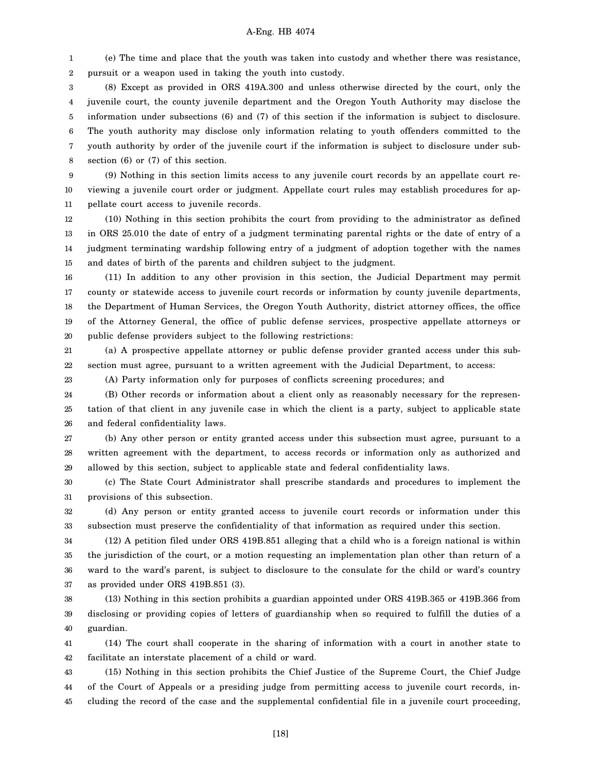1 2 (e) The time and place that the youth was taken into custody and whether there was resistance, pursuit or a weapon used in taking the youth into custody.

3 4 5 6 7 8 (8) Except as provided in ORS 419A.300 and unless otherwise directed by the court, only the juvenile court, the county juvenile department and the Oregon Youth Authority may disclose the information under subsections (6) and (7) of this section if the information is subject to disclosure. The youth authority may disclose only information relating to youth offenders committed to the youth authority by order of the juvenile court if the information is subject to disclosure under subsection (6) or (7) of this section.

9 10 11 (9) Nothing in this section limits access to any juvenile court records by an appellate court reviewing a juvenile court order or judgment. Appellate court rules may establish procedures for appellate court access to juvenile records.

12 13 14 15 (10) Nothing in this section prohibits the court from providing to the administrator as defined in ORS 25.010 the date of entry of a judgment terminating parental rights or the date of entry of a judgment terminating wardship following entry of a judgment of adoption together with the names and dates of birth of the parents and children subject to the judgment.

16 17 18 19 20 (11) In addition to any other provision in this section, the Judicial Department may permit county or statewide access to juvenile court records or information by county juvenile departments, the Department of Human Services, the Oregon Youth Authority, district attorney offices, the office of the Attorney General, the office of public defense services, prospective appellate attorneys or public defense providers subject to the following restrictions:

21 22 (a) A prospective appellate attorney or public defense provider granted access under this subsection must agree, pursuant to a written agreement with the Judicial Department, to access:

(A) Party information only for purposes of conflicts screening procedures; and

23

24 25 26 (B) Other records or information about a client only as reasonably necessary for the representation of that client in any juvenile case in which the client is a party, subject to applicable state and federal confidentiality laws.

27 28 29 (b) Any other person or entity granted access under this subsection must agree, pursuant to a written agreement with the department, to access records or information only as authorized and allowed by this section, subject to applicable state and federal confidentiality laws.

30 31 (c) The State Court Administrator shall prescribe standards and procedures to implement the provisions of this subsection.

32 33 (d) Any person or entity granted access to juvenile court records or information under this subsection must preserve the confidentiality of that information as required under this section.

34 35 36 37 (12) A petition filed under ORS 419B.851 alleging that a child who is a foreign national is within the jurisdiction of the court, or a motion requesting an implementation plan other than return of a ward to the ward's parent, is subject to disclosure to the consulate for the child or ward's country as provided under ORS 419B.851 (3).

38 39 40 (13) Nothing in this section prohibits a guardian appointed under ORS 419B.365 or 419B.366 from disclosing or providing copies of letters of guardianship when so required to fulfill the duties of a guardian.

41 42 (14) The court shall cooperate in the sharing of information with a court in another state to facilitate an interstate placement of a child or ward.

43 44 45 (15) Nothing in this section prohibits the Chief Justice of the Supreme Court, the Chief Judge of the Court of Appeals or a presiding judge from permitting access to juvenile court records, including the record of the case and the supplemental confidential file in a juvenile court proceeding,

[18]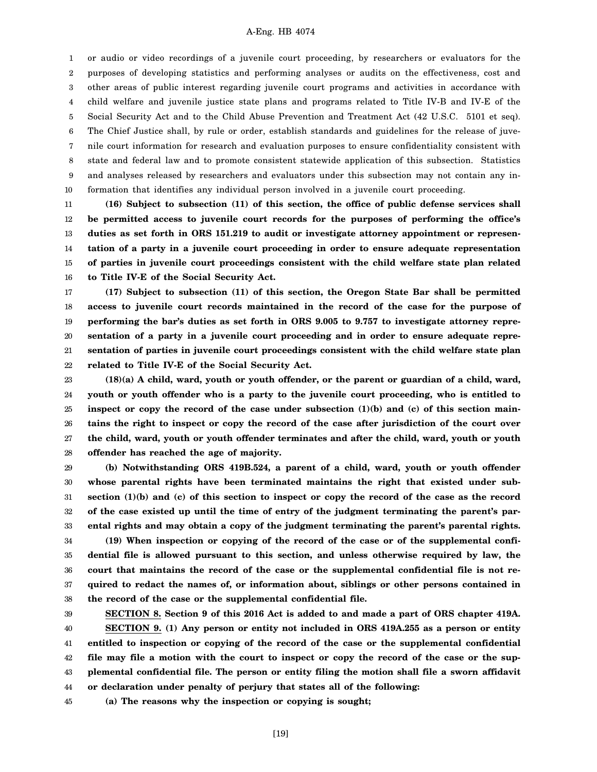1 2 3 4 5 6 7 8 9 10 or audio or video recordings of a juvenile court proceeding, by researchers or evaluators for the purposes of developing statistics and performing analyses or audits on the effectiveness, cost and other areas of public interest regarding juvenile court programs and activities in accordance with child welfare and juvenile justice state plans and programs related to Title IV-B and IV-E of the Social Security Act and to the Child Abuse Prevention and Treatment Act (42 U.S.C. 5101 et seq). The Chief Justice shall, by rule or order, establish standards and guidelines for the release of juvenile court information for research and evaluation purposes to ensure confidentiality consistent with state and federal law and to promote consistent statewide application of this subsection. Statistics and analyses released by researchers and evaluators under this subsection may not contain any information that identifies any individual person involved in a juvenile court proceeding.

11 12 13 14 15 16 **(16) Subject to subsection (11) of this section, the office of public defense services shall be permitted access to juvenile court records for the purposes of performing the office's duties as set forth in ORS 151.219 to audit or investigate attorney appointment or representation of a party in a juvenile court proceeding in order to ensure adequate representation of parties in juvenile court proceedings consistent with the child welfare state plan related to Title IV-E of the Social Security Act.**

17 18 19 20 21 22 **(17) Subject to subsection (11) of this section, the Oregon State Bar shall be permitted access to juvenile court records maintained in the record of the case for the purpose of performing the bar's duties as set forth in ORS 9.005 to 9.757 to investigate attorney representation of a party in a juvenile court proceeding and in order to ensure adequate representation of parties in juvenile court proceedings consistent with the child welfare state plan related to Title IV-E of the Social Security Act.**

23 24 25 26 27 28 **(18)(a) A child, ward, youth or youth offender, or the parent or guardian of a child, ward, youth or youth offender who is a party to the juvenile court proceeding, who is entitled to inspect or copy the record of the case under subsection (1)(b) and (c) of this section maintains the right to inspect or copy the record of the case after jurisdiction of the court over the child, ward, youth or youth offender terminates and after the child, ward, youth or youth offender has reached the age of majority.**

29 30 31 32 33 34 35 **(b) Notwithstanding ORS 419B.524, a parent of a child, ward, youth or youth offender whose parental rights have been terminated maintains the right that existed under subsection (1)(b) and (c) of this section to inspect or copy the record of the case as the record of the case existed up until the time of entry of the judgment terminating the parent's parental rights and may obtain a copy of the judgment terminating the parent's parental rights. (19) When inspection or copying of the record of the case or of the supplemental confidential file is allowed pursuant to this section, and unless otherwise required by law, the**

36 37 38 **court that maintains the record of the case or the supplemental confidential file is not required to redact the names of, or information about, siblings or other persons contained in the record of the case or the supplemental confidential file.**

39

40 41 42 43 44 **SECTION 8. Section 9 of this 2016 Act is added to and made a part of ORS chapter 419A. SECTION 9. (1) Any person or entity not included in ORS 419A.255 as a person or entity entitled to inspection or copying of the record of the case or the supplemental confidential file may file a motion with the court to inspect or copy the record of the case or the supplemental confidential file. The person or entity filing the motion shall file a sworn affidavit or declaration under penalty of perjury that states all of the following:**

45 **(a) The reasons why the inspection or copying is sought;**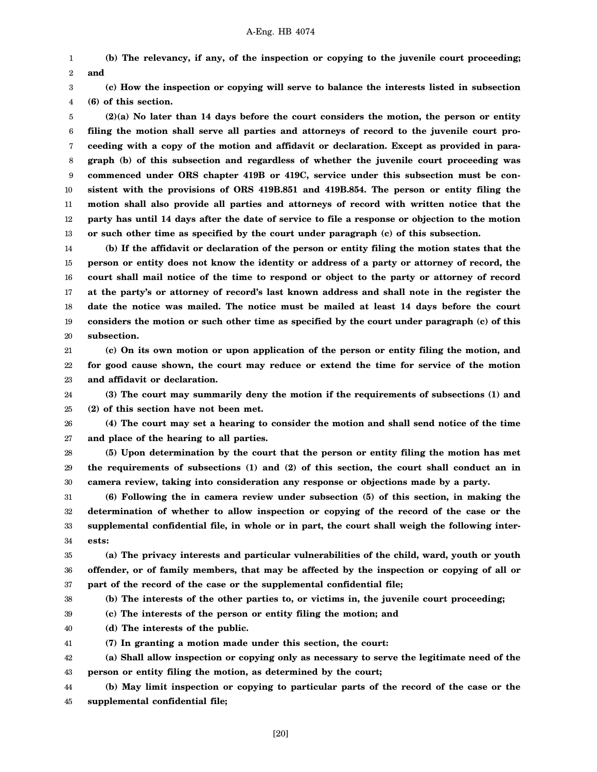1 2 **(b) The relevancy, if any, of the inspection or copying to the juvenile court proceeding; and**

3 4 **(c) How the inspection or copying will serve to balance the interests listed in subsection (6) of this section.**

5 6 7 8 9 10 11 12 13 **(2)(a) No later than 14 days before the court considers the motion, the person or entity filing the motion shall serve all parties and attorneys of record to the juvenile court proceeding with a copy of the motion and affidavit or declaration. Except as provided in paragraph (b) of this subsection and regardless of whether the juvenile court proceeding was commenced under ORS chapter 419B or 419C, service under this subsection must be consistent with the provisions of ORS 419B.851 and 419B.854. The person or entity filing the motion shall also provide all parties and attorneys of record with written notice that the party has until 14 days after the date of service to file a response or objection to the motion or such other time as specified by the court under paragraph (c) of this subsection.**

14 15 16 17 18 19 20 **(b) If the affidavit or declaration of the person or entity filing the motion states that the person or entity does not know the identity or address of a party or attorney of record, the court shall mail notice of the time to respond or object to the party or attorney of record at the party's or attorney of record's last known address and shall note in the register the date the notice was mailed. The notice must be mailed at least 14 days before the court considers the motion or such other time as specified by the court under paragraph (c) of this subsection.**

21 22 23 **(c) On its own motion or upon application of the person or entity filing the motion, and for good cause shown, the court may reduce or extend the time for service of the motion and affidavit or declaration.**

24 25 **(3) The court may summarily deny the motion if the requirements of subsections (1) and (2) of this section have not been met.**

26 27 **(4) The court may set a hearing to consider the motion and shall send notice of the time and place of the hearing to all parties.**

28 29 30 **(5) Upon determination by the court that the person or entity filing the motion has met the requirements of subsections (1) and (2) of this section, the court shall conduct an in camera review, taking into consideration any response or objections made by a party.**

31 32 33 34 **(6) Following the in camera review under subsection (5) of this section, in making the determination of whether to allow inspection or copying of the record of the case or the supplemental confidential file, in whole or in part, the court shall weigh the following interests:**

35 36 37 **(a) The privacy interests and particular vulnerabilities of the child, ward, youth or youth offender, or of family members, that may be affected by the inspection or copying of all or part of the record of the case or the supplemental confidential file;**

**(b) The interests of the other parties to, or victims in, the juvenile court proceeding;**

38

39 **(c) The interests of the person or entity filing the motion; and**

40 **(d) The interests of the public.**

41 **(7) In granting a motion made under this section, the court:**

42 43 **(a) Shall allow inspection or copying only as necessary to serve the legitimate need of the person or entity filing the motion, as determined by the court;**

44 45 **(b) May limit inspection or copying to particular parts of the record of the case or the supplemental confidential file;**